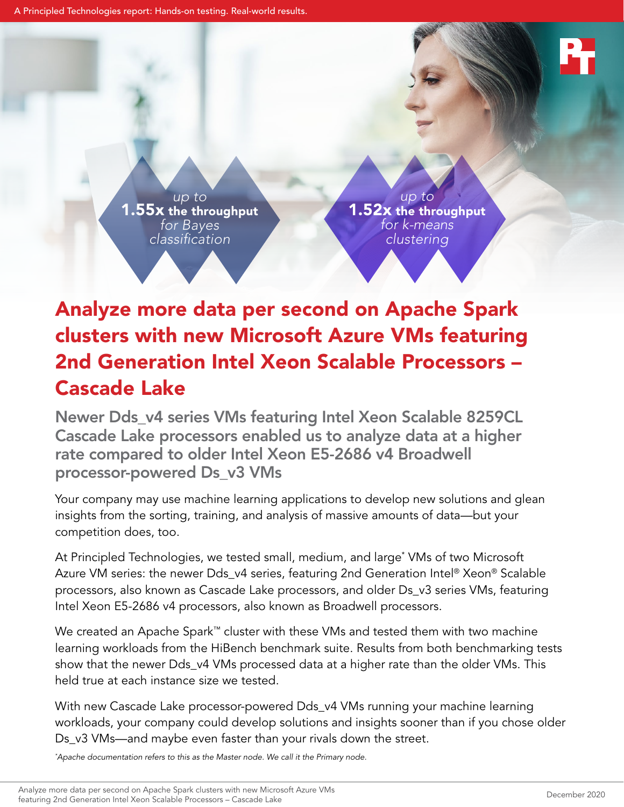A Principled Technologies report: Hands-on testing. Real-world results.

*up to* 1.55x the throughput *for Bayes classification*

*up to* 1.52x the throughput *for k-means clustering*

# Analyze more data per second on Apache Spark clusters with new Microsoft Azure VMs featuring 2nd Generation Intel Xeon Scalable Processors – Cascade Lake

Newer Dds\_v4 series VMs featuring Intel Xeon Scalable 8259CL Cascade Lake processors enabled us to analyze data at a higher rate compared to older Intel Xeon E5-2686 v4 Broadwell processor-powered Ds\_v3 VMs

Your company may use machine learning applications to develop new solutions and glean insights from the sorting, training, and analysis of massive amounts of data—but your competition does, too.

At Principled Technologies, we tested small, medium, and large\* VMs of two Microsoft Azure VM series: the newer Dds\_v4 series, featuring 2nd Generation Intel® Xeon® Scalable processors, also known as Cascade Lake processors, and older Ds\_v3 series VMs, featuring Intel Xeon E5-2686 v4 processors, also known as Broadwell processors.

We created an Apache Spark™ cluster with these VMs and tested them with two machine learning workloads from the HiBench benchmark suite. Results from both benchmarking tests show that the newer Dds\_v4 VMs processed data at a higher rate than the older VMs. This held true at each instance size we tested.

With new Cascade Lake processor-powered Dds\_v4 VMs running your machine learning workloads, your company could develop solutions and insights sooner than if you chose older Ds\_v3 VMs—and maybe even faster than your rivals down the street.

*\* Apache documentation refers to this as the Master node. We call it the Primary node.*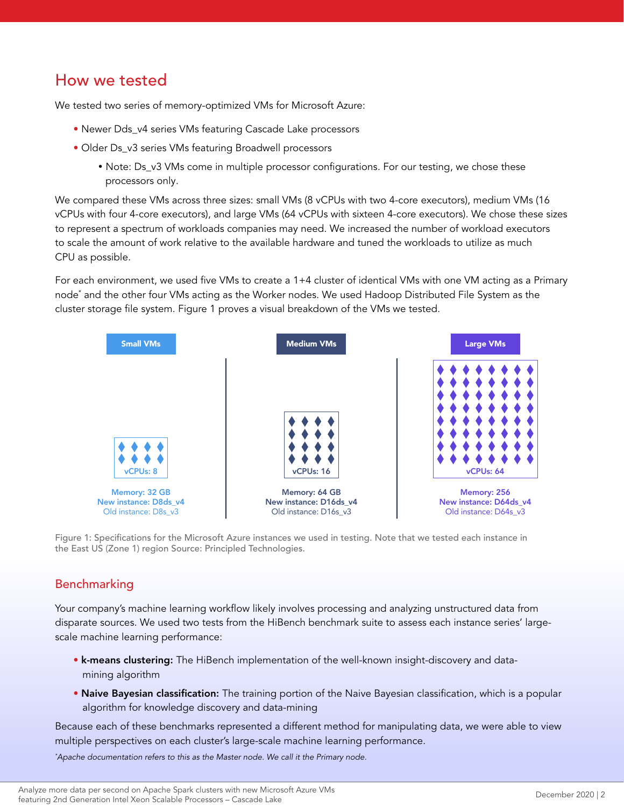### How we tested

We tested two series of memory-optimized VMs for Microsoft Azure:

- Newer Dds\_v4 series VMs featuring Cascade Lake processors
- Older Ds\_v3 series VMs featuring Broadwell processors
	- Note: Ds\_v3 VMs come in multiple processor configurations. For our testing, we chose these processors only.

We compared these VMs across three sizes: small VMs (8 vCPUs with two 4-core executors), medium VMs (16 vCPUs with four 4-core executors), and large VMs (64 vCPUs with sixteen 4-core executors). We chose these sizes to represent a spectrum of workloads companies may need. We increased the number of workload executors to scale the amount of work relative to the available hardware and tuned the workloads to utilize as much CPU as possible.

For each environment, we used five VMs to create a 1+4 cluster of identical VMs with one VM acting as a Primary node\* and the other four VMs acting as the Worker nodes. We used Hadoop Distributed File System as the cluster storage file system. Figure 1 proves a visual breakdown of the VMs we tested.



Figure 1: Specifications for the Microsoft Azure instances we used in testing. Note that we tested each instance in the East US (Zone 1) region Source: Principled Technologies.

#### Benchmarking

Your company's machine learning workflow likely involves processing and analyzing unstructured data from disparate sources. We used two tests from the HiBench benchmark suite to assess each instance series' largescale machine learning performance:

- k-means clustering: The HiBench implementation of the well-known insight-discovery and datamining algorithm
- Naive Bayesian classification: The training portion of the Naive Bayesian classification, which is a popular algorithm for knowledge discovery and data-mining

Because each of these benchmarks represented a different method for manipulating data, we were able to view multiple perspectives on each cluster's large-scale machine learning performance.

*\* Apache documentation refers to this as the Master node. We call it the Primary node.*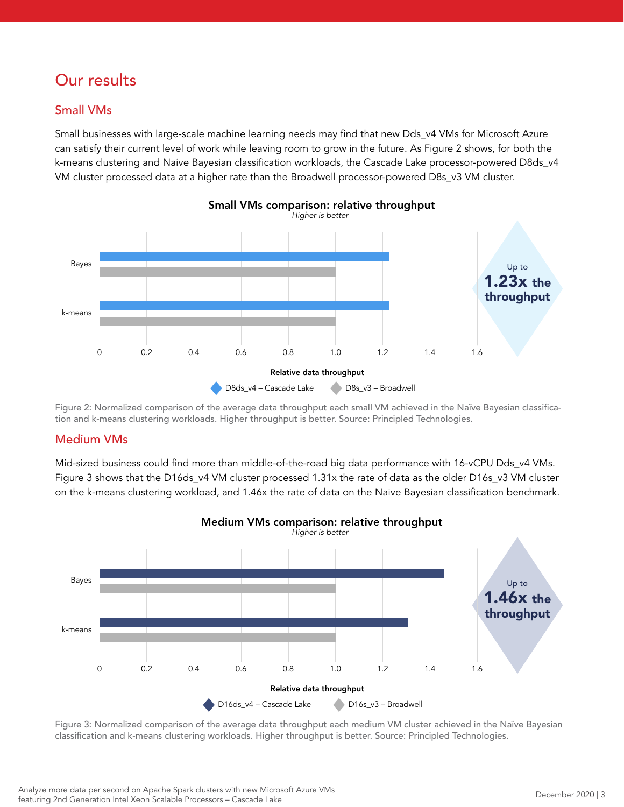# Our results

#### Small VMs

Small businesses with large-scale machine learning needs may find that new Dds\_v4 VMs for Microsoft Azure can satisfy their current level of work while leaving room to grow in the future. As Figure 2 shows, for both the k-means clustering and Naive Bayesian classification workloads, the Cascade Lake processor-powered D8ds\_v4 VM cluster processed data at a higher rate than the Broadwell processor-powered D8s\_v3 VM cluster.



Figure 2: Normalized comparison of the average data throughput each small VM achieved in the Naïve Bayesian classification and k-means clustering workloads. Higher throughput is better. Source: Principled Technologies.

#### Medium VMs

Mid-sized business could find more than middle-of-the-road big data performance with 16-vCPU Dds\_v4 VMs. Figure 3 shows that the D16ds\_v4 VM cluster processed 1.31x the rate of data as the older D16s\_v3 VM cluster on the k-means clustering workload, and 1.46x the rate of data on the Naive Bayesian classification benchmark.



Figure 3: Normalized comparison of the average data throughput each medium VM cluster achieved in the Naïve Bayesian classification and k-means clustering workloads. Higher throughput is better. Source: Principled Technologies.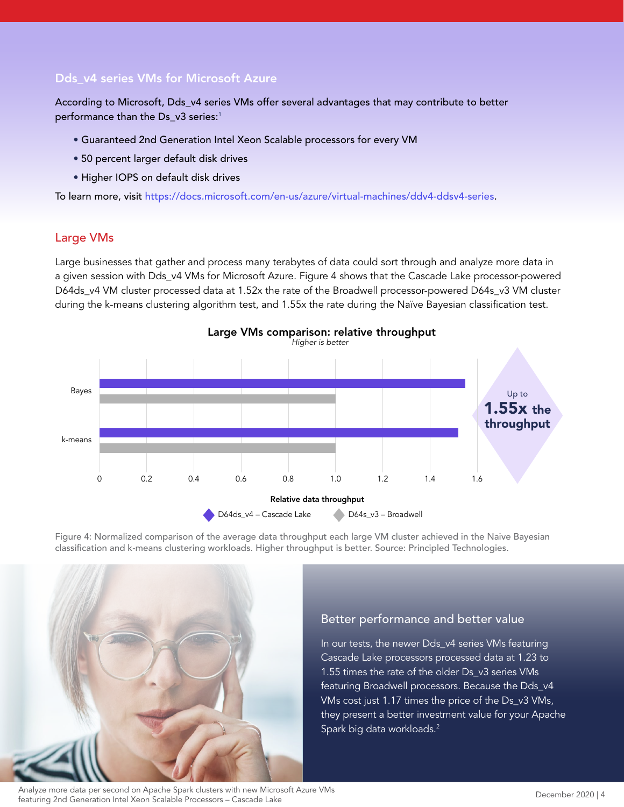#### Dds\_v4 series VMs for Microsoft Azure

According to Microsoft, Dds\_v4 series VMs offer several advantages that may contribute to better performance than the Ds\_v3 series:<sup>1</sup>

- Guaranteed 2nd Generation Intel Xeon Scalable processors for every VM
- 50 percent larger default disk drives
- Higher IOPS on default disk drives

To learn more, visit<https://docs.microsoft.com/en-us/azure/virtual-machines/ddv4-ddsv4-series>.

#### Large VMs

Large businesses that gather and process many terabytes of data could sort through and analyze more data in a given session with Dds\_v4 VMs for Microsoft Azure. Figure 4 shows that the Cascade Lake processor-powered D64ds\_v4 VM cluster processed data at 1.52x the rate of the Broadwell processor-powered D64s\_v3 VM cluster during the k-means clustering algorithm test, and 1.55x the rate during the Naïve Bayesian classification test.



Figure 4: Normalized comparison of the average data throughput each large VM cluster achieved in the Naive Bayesian classification and k-means clustering workloads. Higher throughput is better. Source: Principled Technologies.



#### Better performance and better value

In our tests, the newer Dds\_v4 series VMs featuring Cascade Lake processors processed data at 1.23 to 1.55 times the rate of the older Ds\_v3 series VMs featuring Broadwell processors. Because the Dds\_v4 VMs cost just 1.17 times the price of the Ds\_v3 VMs, they present a better investment value for your Apache Spark big data workloads.2

Analyze more data per second on Apache Spark clusters with new Microsoft Azure VMs rations and persecution in repacte spark clusters with thew witch oscil review wits<br>featuring 2nd Generation Intel Xeon Scalable Processors – Cascade Lake December 2020 | 4